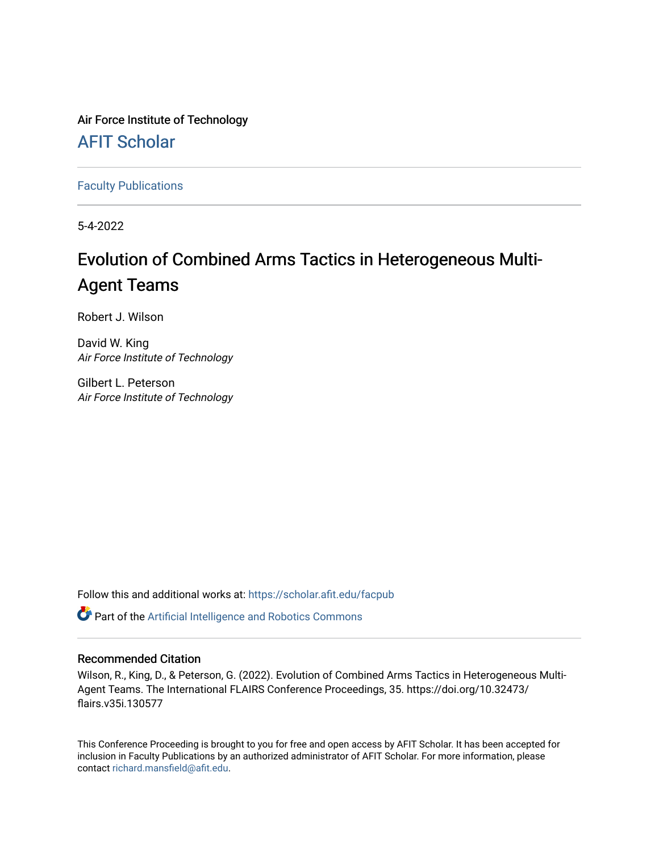Air Force Institute of Technology

[AFIT Scholar](https://scholar.afit.edu/) 

[Faculty Publications](https://scholar.afit.edu/facpub)

5-4-2022

# Evolution of Combined Arms Tactics in Heterogeneous Multi-Agent Teams

Robert J. Wilson

David W. King Air Force Institute of Technology

Gilbert L. Peterson Air Force Institute of Technology

Follow this and additional works at: [https://scholar.afit.edu/facpub](https://scholar.afit.edu/facpub?utm_source=scholar.afit.edu%2Ffacpub%2F967&utm_medium=PDF&utm_campaign=PDFCoverPages)

Part of the [Artificial Intelligence and Robotics Commons](https://network.bepress.com/hgg/discipline/143?utm_source=scholar.afit.edu%2Ffacpub%2F967&utm_medium=PDF&utm_campaign=PDFCoverPages) 

# Recommended Citation

Wilson, R., King, D., & Peterson, G. (2022). Evolution of Combined Arms Tactics in Heterogeneous Multi-Agent Teams. The International FLAIRS Conference Proceedings, 35. https://doi.org/10.32473/ flairs.v35i.130577

This Conference Proceeding is brought to you for free and open access by AFIT Scholar. It has been accepted for inclusion in Faculty Publications by an authorized administrator of AFIT Scholar. For more information, please contact [richard.mansfield@afit.edu](mailto:richard.mansfield@afit.edu).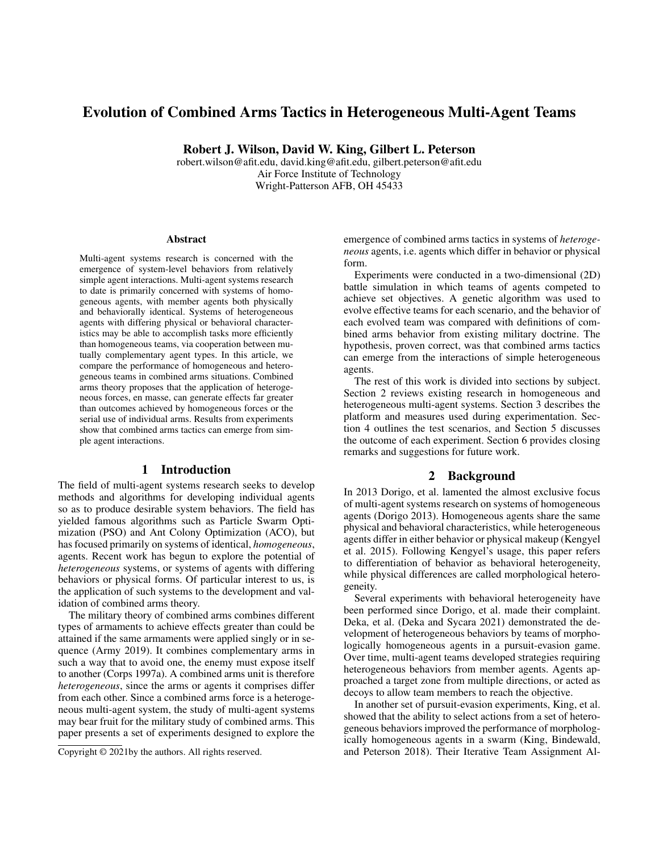# Evolution of Combined Arms Tactics in Heterogeneous Multi-Agent Teams

Robert J. Wilson, David W. King, Gilbert L. Peterson

robert.wilson@afit.edu, david.king@afit.edu, gilbert.peterson@afit.edu Air Force Institute of Technology Wright-Patterson AFB, OH 45433

#### Abstract

Multi-agent systems research is concerned with the emergence of system-level behaviors from relatively simple agent interactions. Multi-agent systems research to date is primarily concerned with systems of homogeneous agents, with member agents both physically and behaviorally identical. Systems of heterogeneous agents with differing physical or behavioral characteristics may be able to accomplish tasks more efficiently than homogeneous teams, via cooperation between mutually complementary agent types. In this article, we compare the performance of homogeneous and heterogeneous teams in combined arms situations. Combined arms theory proposes that the application of heterogeneous forces, en masse, can generate effects far greater than outcomes achieved by homogeneous forces or the serial use of individual arms. Results from experiments show that combined arms tactics can emerge from simple agent interactions.

#### 1 Introduction

The field of multi-agent systems research seeks to develop methods and algorithms for developing individual agents so as to produce desirable system behaviors. The field has yielded famous algorithms such as Particle Swarm Optimization (PSO) and Ant Colony Optimization (ACO), but has focused primarily on systems of identical, *homogeneous*, agents. Recent work has begun to explore the potential of *heterogeneous* systems, or systems of agents with differing behaviors or physical forms. Of particular interest to us, is the application of such systems to the development and validation of combined arms theory.

The military theory of combined arms combines different types of armaments to achieve effects greater than could be attained if the same armaments were applied singly or in sequence (Army 2019). It combines complementary arms in such a way that to avoid one, the enemy must expose itself to another (Corps 1997a). A combined arms unit is therefore *heterogeneous*, since the arms or agents it comprises differ from each other. Since a combined arms force is a heterogeneous multi-agent system, the study of multi-agent systems may bear fruit for the military study of combined arms. This paper presents a set of experiments designed to explore the

emergence of combined arms tactics in systems of *heterogeneous* agents, i.e. agents which differ in behavior or physical form.

Experiments were conducted in a two-dimensional (2D) battle simulation in which teams of agents competed to achieve set objectives. A genetic algorithm was used to evolve effective teams for each scenario, and the behavior of each evolved team was compared with definitions of combined arms behavior from existing military doctrine. The hypothesis, proven correct, was that combined arms tactics can emerge from the interactions of simple heterogeneous agents.

The rest of this work is divided into sections by subject. Section 2 reviews existing research in homogeneous and heterogeneous multi-agent systems. Section 3 describes the platform and measures used during experimentation. Section 4 outlines the test scenarios, and Section 5 discusses the outcome of each experiment. Section 6 provides closing remarks and suggestions for future work.

## 2 Background

In 2013 Dorigo, et al. lamented the almost exclusive focus of multi-agent systems research on systems of homogeneous agents (Dorigo 2013). Homogeneous agents share the same physical and behavioral characteristics, while heterogeneous agents differ in either behavior or physical makeup (Kengyel et al. 2015). Following Kengyel's usage, this paper refers to differentiation of behavior as behavioral heterogeneity, while physical differences are called morphological heterogeneity.

Several experiments with behavioral heterogeneity have been performed since Dorigo, et al. made their complaint. Deka, et al. (Deka and Sycara 2021) demonstrated the development of heterogeneous behaviors by teams of morphologically homogeneous agents in a pursuit-evasion game. Over time, multi-agent teams developed strategies requiring heterogeneous behaviors from member agents. Agents approached a target zone from multiple directions, or acted as decoys to allow team members to reach the objective.

In another set of pursuit-evasion experiments, King, et al. showed that the ability to select actions from a set of heterogeneous behaviors improved the performance of morphologically homogeneous agents in a swarm (King, Bindewald, and Peterson 2018). Their Iterative Team Assignment Al-

Copyright © 2021by the authors. All rights reserved.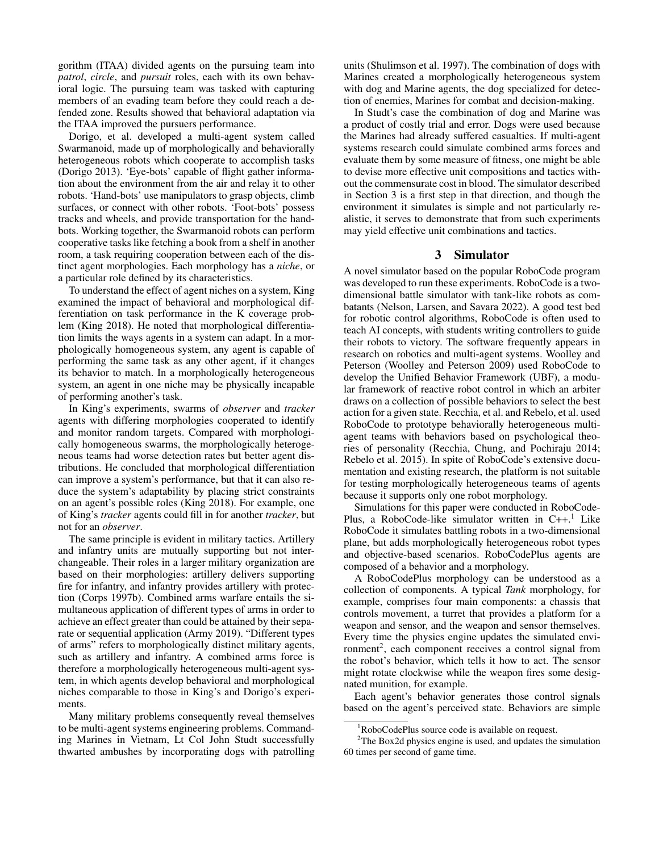gorithm (ITAA) divided agents on the pursuing team into *patrol*, *circle*, and *pursuit* roles, each with its own behavioral logic. The pursuing team was tasked with capturing members of an evading team before they could reach a defended zone. Results showed that behavioral adaptation via the ITAA improved the pursuers performance.

Dorigo, et al. developed a multi-agent system called Swarmanoid, made up of morphologically and behaviorally heterogeneous robots which cooperate to accomplish tasks (Dorigo 2013). 'Eye-bots' capable of flight gather information about the environment from the air and relay it to other robots. 'Hand-bots' use manipulators to grasp objects, climb surfaces, or connect with other robots. 'Foot-bots' possess tracks and wheels, and provide transportation for the handbots. Working together, the Swarmanoid robots can perform cooperative tasks like fetching a book from a shelf in another room, a task requiring cooperation between each of the distinct agent morphologies. Each morphology has a *niche*, or a particular role defined by its characteristics.

To understand the effect of agent niches on a system, King examined the impact of behavioral and morphological differentiation on task performance in the K coverage problem (King 2018). He noted that morphological differentiation limits the ways agents in a system can adapt. In a morphologically homogeneous system, any agent is capable of performing the same task as any other agent, if it changes its behavior to match. In a morphologically heterogeneous system, an agent in one niche may be physically incapable of performing another's task.

In King's experiments, swarms of *observer* and *tracker* agents with differing morphologies cooperated to identify and monitor random targets. Compared with morphologically homogeneous swarms, the morphologically heterogeneous teams had worse detection rates but better agent distributions. He concluded that morphological differentiation can improve a system's performance, but that it can also reduce the system's adaptability by placing strict constraints on an agent's possible roles (King 2018). For example, one of King's *tracker* agents could fill in for another *tracker*, but not for an *observer*.

The same principle is evident in military tactics. Artillery and infantry units are mutually supporting but not interchangeable. Their roles in a larger military organization are based on their morphologies: artillery delivers supporting fire for infantry, and infantry provides artillery with protection (Corps 1997b). Combined arms warfare entails the simultaneous application of different types of arms in order to achieve an effect greater than could be attained by their separate or sequential application (Army 2019). "Different types of arms" refers to morphologically distinct military agents, such as artillery and infantry. A combined arms force is therefore a morphologically heterogeneous multi-agent system, in which agents develop behavioral and morphological niches comparable to those in King's and Dorigo's experiments.

Many military problems consequently reveal themselves to be multi-agent systems engineering problems. Commanding Marines in Vietnam, Lt Col John Studt successfully thwarted ambushes by incorporating dogs with patrolling units (Shulimson et al. 1997). The combination of dogs with Marines created a morphologically heterogeneous system with dog and Marine agents, the dog specialized for detection of enemies, Marines for combat and decision-making.

In Studt's case the combination of dog and Marine was a product of costly trial and error. Dogs were used because the Marines had already suffered casualties. If multi-agent systems research could simulate combined arms forces and evaluate them by some measure of fitness, one might be able to devise more effective unit compositions and tactics without the commensurate cost in blood. The simulator described in Section 3 is a first step in that direction, and though the environment it simulates is simple and not particularly realistic, it serves to demonstrate that from such experiments may yield effective unit combinations and tactics.

#### 3 Simulator

A novel simulator based on the popular RoboCode program was developed to run these experiments. RoboCode is a twodimensional battle simulator with tank-like robots as combatants (Nelson, Larsen, and Savara 2022). A good test bed for robotic control algorithms, RoboCode is often used to teach AI concepts, with students writing controllers to guide their robots to victory. The software frequently appears in research on robotics and multi-agent systems. Woolley and Peterson (Woolley and Peterson 2009) used RoboCode to develop the Unified Behavior Framework (UBF), a modular framework of reactive robot control in which an arbiter draws on a collection of possible behaviors to select the best action for a given state. Recchia, et al. and Rebelo, et al. used RoboCode to prototype behaviorally heterogeneous multiagent teams with behaviors based on psychological theories of personality (Recchia, Chung, and Pochiraju 2014; Rebelo et al. 2015). In spite of RoboCode's extensive documentation and existing research, the platform is not suitable for testing morphologically heterogeneous teams of agents because it supports only one robot morphology.

Simulations for this paper were conducted in RoboCode-Plus, a RoboCode-like simulator written in  $C_{++}$ .<sup>1</sup> Like RoboCode it simulates battling robots in a two-dimensional plane, but adds morphologically heterogeneous robot types and objective-based scenarios. RoboCodePlus agents are composed of a behavior and a morphology.

A RoboCodePlus morphology can be understood as a collection of components. A typical *Tank* morphology, for example, comprises four main components: a chassis that controls movement, a turret that provides a platform for a weapon and sensor, and the weapon and sensor themselves. Every time the physics engine updates the simulated environment<sup>2</sup>, each component receives a control signal from the robot's behavior, which tells it how to act. The sensor might rotate clockwise while the weapon fires some designated munition, for example.

Each agent's behavior generates those control signals based on the agent's perceived state. Behaviors are simple

<sup>&</sup>lt;sup>1</sup>RoboCodePlus source code is available on request.

 $2$ The Box2d physics engine is used, and updates the simulation 60 times per second of game time.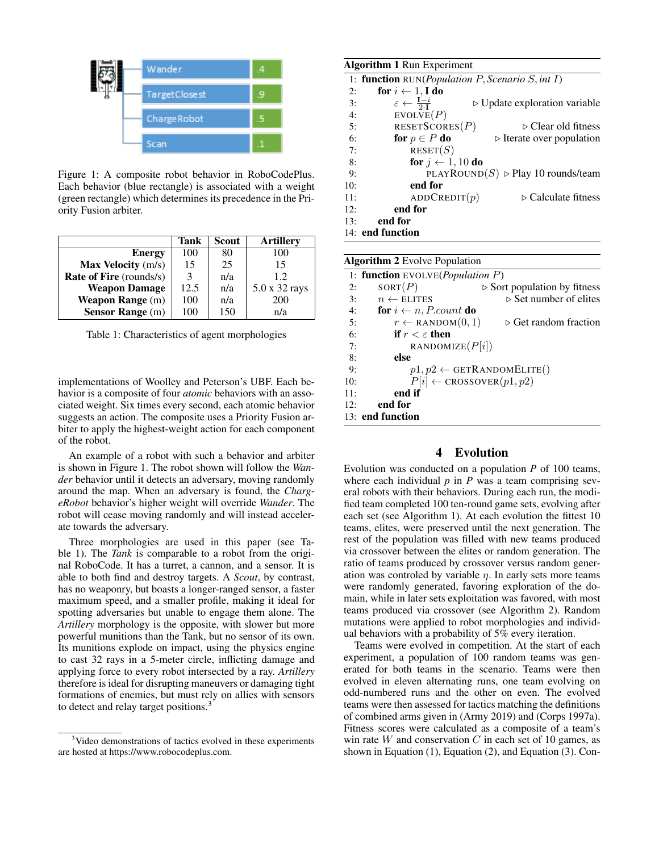

Figure 1: A composite robot behavior in RoboCodePlus. Each behavior (blue rectangle) is associated with a weight (green rectangle) which determines its precedence in the Priority Fusion arbiter.

|                                | Tank | Scout | <b>Artillery</b> |
|--------------------------------|------|-------|------------------|
| <b>Energy</b>                  | 100  | 80    | 100              |
| Max Velocity (m/s)             | 15   | 25    | 15               |
| <b>Rate of Fire</b> (rounds/s) | 3    | n/a   | 1.2.             |
| <b>Weapon Damage</b>           | 12.5 | n/a   | 5.0 x 32 rays    |
| <b>Weapon Range</b> (m)        | 100  | n/a   | 200              |
| <b>Sensor Range</b> (m)        | 100  | 150   | n/a              |

Table 1: Characteristics of agent morphologies

implementations of Woolley and Peterson's UBF. Each behavior is a composite of four *atomic* behaviors with an associated weight. Six times every second, each atomic behavior suggests an action. The composite uses a Priority Fusion arbiter to apply the highest-weight action for each component of the robot.

An example of a robot with such a behavior and arbiter is shown in Figure 1. The robot shown will follow the *Wander* behavior until it detects an adversary, moving randomly around the map. When an adversary is found, the *ChargeRobot* behavior's higher weight will override *Wander*. The robot will cease moving randomly and will instead accelerate towards the adversary.

Three morphologies are used in this paper (see Table 1). The *Tank* is comparable to a robot from the original RoboCode. It has a turret, a cannon, and a sensor. It is able to both find and destroy targets. A *Scout*, by contrast, has no weaponry, but boasts a longer-ranged sensor, a faster maximum speed, and a smaller profile, making it ideal for spotting adversaries but unable to engage them alone. The *Artillery* morphology is the opposite, with slower but more powerful munitions than the Tank, but no sensor of its own. Its munitions explode on impact, using the physics engine to cast 32 rays in a 5-meter circle, inflicting damage and applying force to every robot intersected by a ray. *Artillery* therefore is ideal for disrupting maneuvers or damaging tight formations of enemies, but must rely on allies with sensors to detect and relay target positions.<sup>3</sup>

| <b>Algorithm 1 Run Experiment</b> |                                                                    |                                                   |  |  |  |
|-----------------------------------|--------------------------------------------------------------------|---------------------------------------------------|--|--|--|
|                                   | 1: function $RUN(Population P, Scenario S, int I)$                 |                                                   |  |  |  |
| 2:                                | for $i \leftarrow 1$ . I do                                        |                                                   |  |  |  |
| 3:                                | $\varepsilon \leftarrow \frac{\mathbf{I} - i}{2 \cdot \mathbf{I}}$ | $\triangleright$ Update exploration variable      |  |  |  |
| 4:                                | EVOLVE(P)                                                          |                                                   |  |  |  |
| 5:                                | RESETSCORES $(P)$                                                  | $\triangleright$ Clear old fitness                |  |  |  |
| 6:                                | for $p \in P$ do                                                   | $\triangleright$ Iterate over population          |  |  |  |
| 7:                                | RESET(S)                                                           |                                                   |  |  |  |
| 8:                                | for $j \leftarrow 1, 10$ do                                        |                                                   |  |  |  |
| 9:                                |                                                                    | PLAYROUND(S) $\triangleright$ Play 10 rounds/team |  |  |  |
| 10:                               | end for                                                            |                                                   |  |  |  |
| 11:                               | ADDCREDIT $(p)$                                                    | $\triangleright$ Calculate fitness                |  |  |  |
| 12:                               | end for                                                            |                                                   |  |  |  |
| 13:                               | end for                                                            |                                                   |  |  |  |
| 14: end function                  |                                                                    |                                                   |  |  |  |
|                                   |                                                                    |                                                   |  |  |  |

| <b>Algorithm 2</b> Evolve Population |                                                  |                                             |  |  |  |
|--------------------------------------|--------------------------------------------------|---------------------------------------------|--|--|--|
|                                      | 1: <b>function</b> EVOLVE( <i>Population P</i> ) |                                             |  |  |  |
| 2:                                   | SORT(P)                                          | $\triangleright$ Sort population by fitness |  |  |  |
| 3:                                   | $n \leftarrow$ ELITES                            | $\triangleright$ Set number of elites       |  |  |  |
| 4:                                   | for $i \leftarrow n$ , <i>P.count</i> do         |                                             |  |  |  |
| 5:                                   | $r \leftarrow$ RANDOM $(0, 1)$                   | $\triangleright$ Get random fraction        |  |  |  |
| 6:                                   | if $r < \varepsilon$ then                        |                                             |  |  |  |
| 7:                                   | RANDOMIZE $(P[i])$                               |                                             |  |  |  |
| 8:                                   | else                                             |                                             |  |  |  |
| 9:                                   |                                                  | $p1, p2 \leftarrow$ GETRANDOMELITE()        |  |  |  |
| 10:                                  | $P[i] \leftarrow \text{CROSSOVER}(p1, p2)$       |                                             |  |  |  |
| 11:                                  | end if                                           |                                             |  |  |  |
| 12:                                  | end for                                          |                                             |  |  |  |
|                                      | 13: end function                                 |                                             |  |  |  |

### 4 Evolution

Evolution was conducted on a population *P* of 100 teams, where each individual  $p$  in  $P$  was a team comprising several robots with their behaviors. During each run, the modified team completed 100 ten-round game sets, evolving after each set (see Algorithm 1). At each evolution the fittest 10 teams, elites, were preserved until the next generation. The rest of the population was filled with new teams produced via crossover between the elites or random generation. The ratio of teams produced by crossover versus random generation was controled by variable  $\eta$ . In early sets more teams were randomly generated, favoring exploration of the domain, while in later sets exploitation was favored, with most teams produced via crossover (see Algorithm 2). Random mutations were applied to robot morphologies and individual behaviors with a probability of 5% every iteration.

Teams were evolved in competition. At the start of each experiment, a population of 100 random teams was generated for both teams in the scenario. Teams were then evolved in eleven alternating runs, one team evolving on odd-numbered runs and the other on even. The evolved teams were then assessed for tactics matching the definitions of combined arms given in (Army 2019) and (Corps 1997a). Fitness scores were calculated as a composite of a team's win rate  $W$  and conservation  $C$  in each set of 10 games, as shown in Equation (1), Equation (2), and Equation (3). Con-

<sup>&</sup>lt;sup>3</sup>Video demonstrations of tactics evolved in these experiments are hosted at https://www.robocodeplus.com.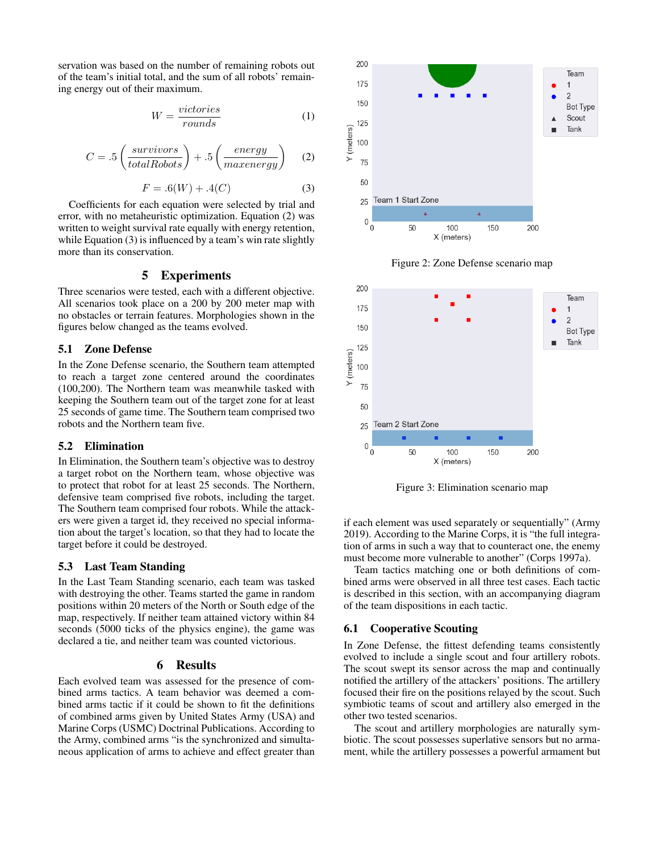servation was based on the number of remaining robots out of the team's initial total, and the sum of all robots' remaining energy out of their maximum.

$$
W = \frac{victories}{rounds} \tag{1}
$$

$$
C = .5 \left( \frac{survivors}{totalRobots} \right) + .5 \left( \frac{energy}{maxenergy} \right) \tag{2}
$$

$$
F = .6(W) + .4(C)
$$
 (3)

Coefficients for each equation were selected by trial and error, with no metaheuristic optimization. Equation (2) was written to weight survival rate equally with energy retention, while Equation (3) is influenced by a team's win rate slightly more than its conservation.

#### 5 Experiments

Three scenarios were tested, each with a different objective. All scenarios took place on a 200 by 200 meter map with no obstacles or terrain features. Morphologies shown in the figures below changed as the teams evolved.

#### 5.1 Zone Defense

In the Zone Defense scenario, the Southern team attempted to reach a target zone centered around the coordinates (100,200). The Northern team was meanwhile tasked with keeping the Southern team out of the target zone for at least 25 seconds of game time. The Southern team comprised two robots and the Northern team five.

#### 5.2 Elimination

In Elimination, the Southern team's objective was to destroy a target robot on the Northern team, whose objective was to protect that robot for at least 25 seconds. The Northern, defensive team comprised five robots, including the target. The Southern team comprised four robots. While the attackers were given a target id, they received no special information about the target's location, so that they had to locate the target before it could be destroyed.

#### 5.3 Last Team Standing

In the Last Team Standing scenario, each team was tasked with destroying the other. Teams started the game in random positions within 20 meters of the North or South edge of the map, respectively. If neither team attained victory within 84 seconds (5000 ticks of the physics engine), the game was declared a tie, and neither team was counted victorious.

### 6 Results

Each evolved team was assessed for the presence of combined arms tactics. A team behavior was deemed a combined arms tactic if it could be shown to fit the definitions of combined arms given by United States Army (USA) and Marine Corps (USMC) Doctrinal Publications. According to the Army, combined arms "is the synchronized and simultaneous application of arms to achieve and effect greater than



Figure 2: Zone Defense scenario map



Figure 3: Elimination scenario map

if each element was used separately or sequentially" (Army 2019). According to the Marine Corps, it is "the full integration of arms in such a way that to counteract one, the enemy must become more vulnerable to another" (Corps 1997a).

Team tactics matching one or both definitions of combined arms were observed in all three test cases. Each tactic is described in this section, with an accompanying diagram of the team dispositions in each tactic.

#### 6.1 Cooperative Scouting

In Zone Defense, the fittest defending teams consistently evolved to include a single scout and four artillery robots. The scout swept its sensor across the map and continually notified the artillery of the attackers' positions. The artillery focused their fire on the positions relayed by the scout. Such symbiotic teams of scout and artillery also emerged in the other two tested scenarios.

The scout and artillery morphologies are naturally symbiotic. The scout possesses superlative sensors but no armament, while the artillery possesses a powerful armament but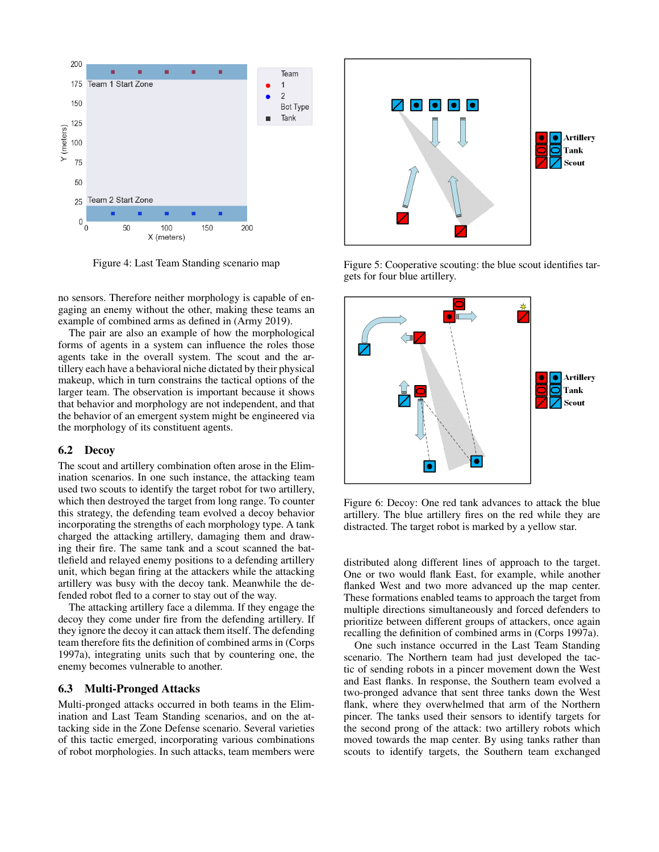

Figure 4: Last Team Standing scenario map

no sensors. Therefore neither morphology is capable of engaging an enemy without the other, making these teams an example of combined arms as defined in (Army 2019).

The pair are also an example of how the morphological forms of agents in a system can influence the roles those agents take in the overall system. The scout and the artillery each have a behavioral niche dictated by their physical makeup, which in turn constrains the tactical options of the larger team. The observation is important because it shows that behavior and morphology are not independent, and that the behavior of an emergent system might be engineered via the morphology of its constituent agents.

#### 6.2 Decoy

The scout and artillery combination often arose in the Elimination scenarios. In one such instance, the attacking team used two scouts to identify the target robot for two artillery, which then destroyed the target from long range. To counter this strategy, the defending team evolved a decoy behavior incorporating the strengths of each morphology type. A tank charged the attacking artillery, damaging them and drawing their fire. The same tank and a scout scanned the battlefield and relayed enemy positions to a defending artillery unit, which began firing at the attackers while the attacking artillery was busy with the decoy tank. Meanwhile the defended robot fled to a corner to stay out of the way.

The attacking artillery face a dilemma. If they engage the decoy they come under fire from the defending artillery. If they ignore the decoy it can attack them itself. The defending team therefore fits the definition of combined arms in (Corps 1997a), integrating units such that by countering one, the enemy becomes vulnerable to another.

#### 6.3 Multi-Pronged Attacks

Multi-pronged attacks occurred in both teams in the Elimination and Last Team Standing scenarios, and on the attacking side in the Zone Defense scenario. Several varieties of this tactic emerged, incorporating various combinations of robot morphologies. In such attacks, team members were



Figure 5: Cooperative scouting: the blue scout identifies targets for four blue artillery.



Figure 6: Decoy: One red tank advances to attack the blue artillery. The blue artillery fires on the red while they are distracted. The target robot is marked by a yellow star.

distributed along different lines of approach to the target. One or two would flank East, for example, while another flanked West and two more advanced up the map center. These formations enabled teams to approach the target from multiple directions simultaneously and forced defenders to prioritize between different groups of attackers, once again recalling the definition of combined arms in (Corps 1997a).

One such instance occurred in the Last Team Standing scenario. The Northern team had just developed the tactic of sending robots in a pincer movement down the West and East flanks. In response, the Southern team evolved a two-pronged advance that sent three tanks down the West flank, where they overwhelmed that arm of the Northern pincer. The tanks used their sensors to identify targets for the second prong of the attack: two artillery robots which moved towards the map center. By using tanks rather than scouts to identify targets, the Southern team exchanged